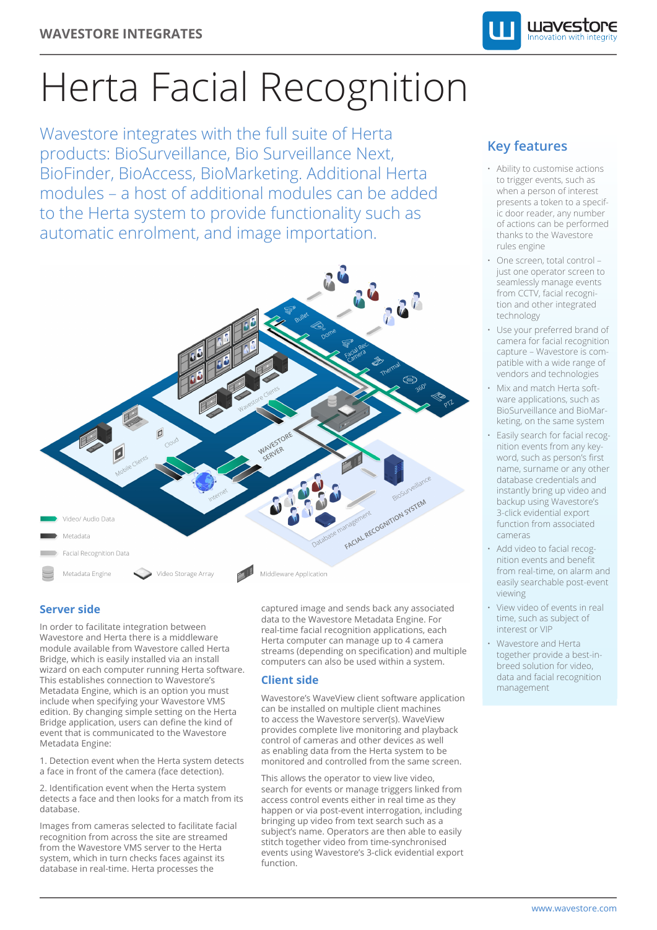

# Herta Facial Recognition

Wavestore integrates with the full suite of Herta products: BioSurveillance, Bio Surveillance Next, BioFinder, BioAccess, BioMarketing. Additional Herta modules – a host of additional modules can be added to the Herta system to provide functionality such as automatic enrolment, and image importation.



### **Server side**

In order to facilitate integration between Wavestore and Herta there is a middleware module available from Wavestore called Herta Bridge, which is easily installed via an install wizard on each computer running Herta software. This establishes connection to Wavestore's Metadata Engine, which is an option you must include when specifying your Wavestore VMS edition. By changing simple setting on the Herta Bridge application, users can define the kind of event that is communicated to the Wavestore Metadata Engine:

1. Detection event when the Herta system detects a face in front of the camera (face detection).

2. Identification event when the Herta system detects a face and then looks for a match from its database.

Images from cameras selected to facilitate facial recognition from across the site are streamed from the Wavestore VMS server to the Herta system, which in turn checks faces against its database in real-time. Herta processes the

captured image and sends back any associated data to the Wavestore Metadata Engine. For real-time facial recognition applications, each Herta computer can manage up to 4 camera streams (depending on specification) and multiple computers can also be used within a system.

#### **Client side**

Wavestore's WaveView client software application can be installed on multiple client machines to access the Wavestore server(s). WaveView provides complete live monitoring and playback control of cameras and other devices as well as enabling data from the Herta system to be monitored and controlled from the same screen.

This allows the operator to view live video, search for events or manage triggers linked from access control events either in real time as they happen or via post-event interrogation, including bringing up video from text search such as a subject's name. Operators are then able to easily stitch together video from time-synchronised events using Wavestore's 3-click evidential export function.

## **Key features**

- Ability to customise actions to trigger events, such as when a person of interest presents a token to a specific door reader, any number of actions can be performed thanks to the Wavestore rules engine
- One screen, total control just one operator screen to seamlessly manage events from CCTV, facial recognition and other integrated technology
- Use your preferred brand of camera for facial recognition capture – Wavestore is compatible with a wide range of vendors and technologies
- Mix and match Herta software applications, such as BioSurveillance and BioMarketing, on the same system
- Easily search for facial recognition events from any keyword, such as person's first name, surname or any other database credentials and instantly bring up video and backup using Wavestore's 3-click evidential export function from associated cameras
- Add video to facial recognition events and benefit from real-time, on alarm and easily searchable post-event viewing
- View video of events in real time, such as subject of interest or VIP
- Wavestore and Herta together provide a best-inbreed solution for video, data and facial recognition management